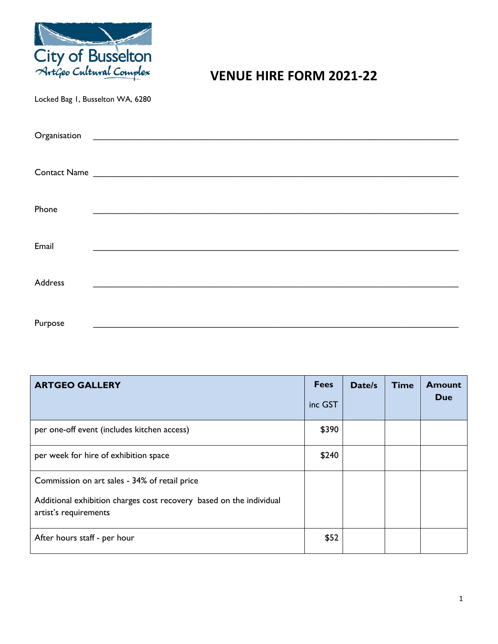

# **VENUE HIRE FORM 2021-22**

Locked Bag 1, Busselton WA, 6280

| Organisation | <u> 1980 - Jan Stein Stein Stein Stein Stein Stein Stein Stein Stein Stein Stein Stein Stein Stein Stein Stein S</u> |  |  |
|--------------|----------------------------------------------------------------------------------------------------------------------|--|--|
|              |                                                                                                                      |  |  |
|              | Contact Name                                                                                                         |  |  |
|              |                                                                                                                      |  |  |
| Phone        |                                                                                                                      |  |  |
|              |                                                                                                                      |  |  |
| Email        |                                                                                                                      |  |  |
|              |                                                                                                                      |  |  |
| Address      |                                                                                                                      |  |  |
|              |                                                                                                                      |  |  |
| Purpose      |                                                                                                                      |  |  |

| <b>ARTGEO GALLERY</b>                                                                                                                         | <b>Fees</b><br>inc GST | Date/s | <b>Time</b> | <b>Amount</b><br>Due |
|-----------------------------------------------------------------------------------------------------------------------------------------------|------------------------|--------|-------------|----------------------|
| per one-off event (includes kitchen access)                                                                                                   | \$390                  |        |             |                      |
| per week for hire of exhibition space                                                                                                         | \$240                  |        |             |                      |
| Commission on art sales - 34% of retail price<br>Additional exhibition charges cost recovery based on the individual<br>artist's requirements |                        |        |             |                      |
| After hours staff - per hour                                                                                                                  | \$52                   |        |             |                      |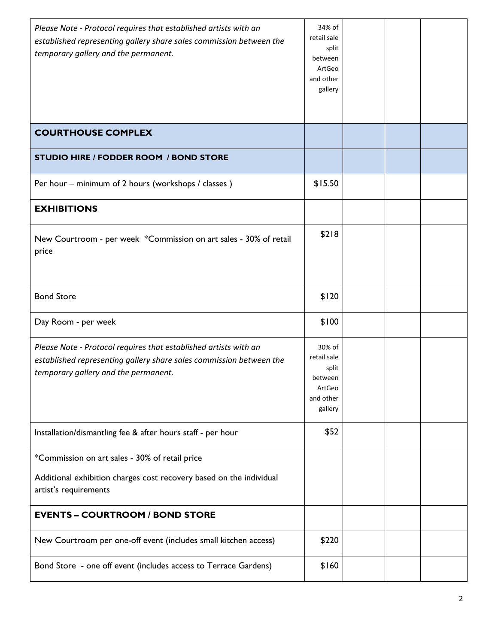| Please Note - Protocol requires that established artists with an<br>established representing gallery share sales commission between the<br>temporary gallery and the permanent. | 34% of<br>retail sale<br>split<br>between<br>ArtGeo<br>and other<br>gallery |  |  |
|---------------------------------------------------------------------------------------------------------------------------------------------------------------------------------|-----------------------------------------------------------------------------|--|--|
| <b>COURTHOUSE COMPLEX</b>                                                                                                                                                       |                                                                             |  |  |
| <b>STUDIO HIRE / FODDER ROOM / BOND STORE</b>                                                                                                                                   |                                                                             |  |  |
| Per hour – minimum of 2 hours (workshops / classes)                                                                                                                             | \$15.50                                                                     |  |  |
| <b>EXHIBITIONS</b>                                                                                                                                                              |                                                                             |  |  |
| New Courtroom - per week *Commission on art sales - 30% of retail<br>price                                                                                                      | \$218                                                                       |  |  |
| <b>Bond Store</b>                                                                                                                                                               | \$120                                                                       |  |  |
| Day Room - per week                                                                                                                                                             | \$100                                                                       |  |  |
| Please Note - Protocol requires that established artists with an<br>established representing gallery share sales commission between the<br>temporary gallery and the permanent. | 30% of<br>retail sale<br>split<br>between<br>ArtGeo<br>and other<br>gallery |  |  |
| Installation/dismantling fee & after hours staff - per hour                                                                                                                     | \$52                                                                        |  |  |
| *Commission on art sales - 30% of retail price<br>Additional exhibition charges cost recovery based on the individual<br>artist's requirements                                  |                                                                             |  |  |
| <b>EVENTS - COURTROOM / BOND STORE</b>                                                                                                                                          |                                                                             |  |  |
| New Courtroom per one-off event (includes small kitchen access)                                                                                                                 | \$220                                                                       |  |  |
| Bond Store - one off event (includes access to Terrace Gardens)                                                                                                                 | \$160                                                                       |  |  |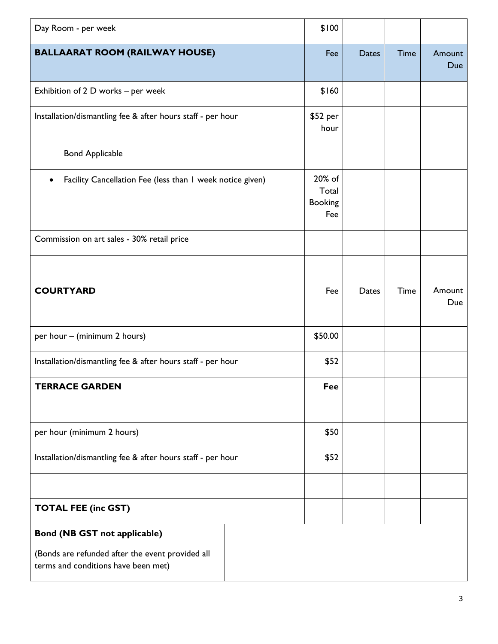| Day Room - per week                                                                                                            |         |              |             |               |
|--------------------------------------------------------------------------------------------------------------------------------|---------|--------------|-------------|---------------|
| <b>BALLAARAT ROOM (RAILWAY HOUSE)</b>                                                                                          | Fee     | <b>Dates</b> | <b>Time</b> | Amount<br>Due |
| Exhibition of 2 D works - per week                                                                                             |         |              |             |               |
| Installation/dismantling fee & after hours staff - per hour                                                                    |         |              |             |               |
| <b>Bond Applicable</b>                                                                                                         |         |              |             |               |
| Facility Cancellation Fee (less than I week notice given)                                                                      |         |              |             |               |
| Commission on art sales - 30% retail price                                                                                     |         |              |             |               |
|                                                                                                                                |         |              |             |               |
| <b>COURTYARD</b>                                                                                                               | Fee     | Dates        | Time        | Amount<br>Due |
| per hour - (minimum 2 hours)                                                                                                   | \$50.00 |              |             |               |
| Installation/dismantling fee & after hours staff - per hour                                                                    |         |              |             |               |
| <b>TERRACE GARDEN</b>                                                                                                          |         |              |             |               |
| per hour (minimum 2 hours)                                                                                                     |         |              |             |               |
| Installation/dismantling fee & after hours staff - per hour                                                                    |         |              |             |               |
|                                                                                                                                |         |              |             |               |
| <b>TOTAL FEE (inc GST)</b>                                                                                                     |         |              |             |               |
| <b>Bond (NB GST not applicable)</b><br>(Bonds are refunded after the event provided all<br>terms and conditions have been met) |         |              |             |               |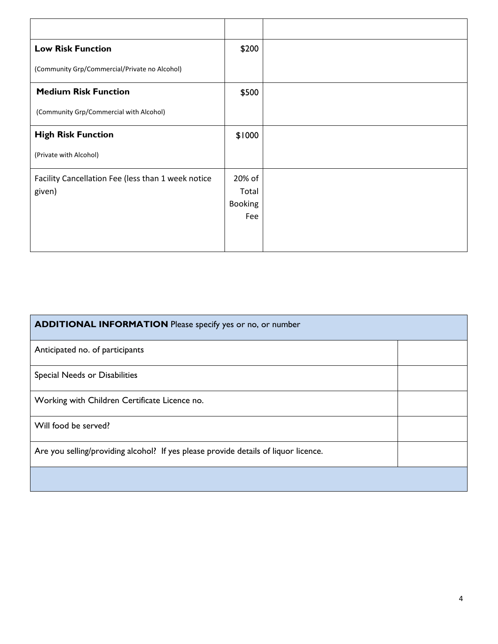| <b>Low Risk Function</b>                           | \$200   |  |
|----------------------------------------------------|---------|--|
| (Community Grp/Commercial/Private no Alcohol)      |         |  |
| <b>Medium Risk Function</b>                        | \$500   |  |
| (Community Grp/Commercial with Alcohol)            |         |  |
| <b>High Risk Function</b>                          | \$1000  |  |
| (Private with Alcohol)                             |         |  |
| Facility Cancellation Fee (less than 1 week notice | 20% of  |  |
| given)                                             | Total   |  |
|                                                    | Booking |  |
|                                                    | Fee     |  |
|                                                    |         |  |
|                                                    |         |  |

| <b>ADDITIONAL INFORMATION</b> Please specify yes or no, or number                   |  |  |
|-------------------------------------------------------------------------------------|--|--|
| Anticipated no. of participants                                                     |  |  |
| Special Needs or Disabilities                                                       |  |  |
| Working with Children Certificate Licence no.                                       |  |  |
| Will food be served?                                                                |  |  |
| Are you selling/providing alcohol? If yes please provide details of liquor licence. |  |  |
|                                                                                     |  |  |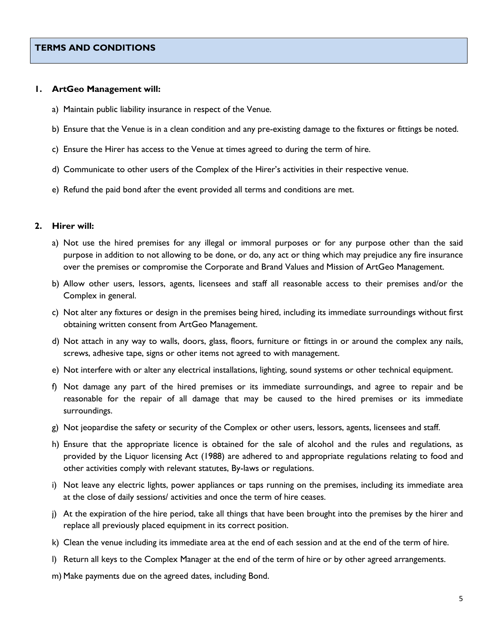#### **1. ArtGeo Management will:**

- a) Maintain public liability insurance in respect of the Venue.
- b) Ensure that the Venue is in a clean condition and any pre-existing damage to the fixtures or fittings be noted.
- c) Ensure the Hirer has access to the Venue at times agreed to during the term of hire.
- d) Communicate to other users of the Complex of the Hirer's activities in their respective venue.
- e) Refund the paid bond after the event provided all terms and conditions are met.

#### **2. Hirer will:**

- a) Not use the hired premises for any illegal or immoral purposes or for any purpose other than the said purpose in addition to not allowing to be done, or do, any act or thing which may prejudice any fire insurance over the premises or compromise the Corporate and Brand Values and Mission of ArtGeo Management.
- b) Allow other users, lessors, agents, licensees and staff all reasonable access to their premises and/or the Complex in general.
- c) Not alter any fixtures or design in the premises being hired, including its immediate surroundings without first obtaining written consent from ArtGeo Management.
- d) Not attach in any way to walls, doors, glass, floors, furniture or fittings in or around the complex any nails, screws, adhesive tape, signs or other items not agreed to with management.
- e) Not interfere with or alter any electrical installations, lighting, sound systems or other technical equipment.
- f) Not damage any part of the hired premises or its immediate surroundings, and agree to repair and be reasonable for the repair of all damage that may be caused to the hired premises or its immediate surroundings.
- g) Not jeopardise the safety or security of the Complex or other users, lessors, agents, licensees and staff.
- h) Ensure that the appropriate licence is obtained for the sale of alcohol and the rules and regulations, as provided by the Liquor licensing Act (1988) are adhered to and appropriate regulations relating to food and other activities comply with relevant statutes, By-laws or regulations.
- i) Not leave any electric lights, power appliances or taps running on the premises, including its immediate area at the close of daily sessions/ activities and once the term of hire ceases.
- j) At the expiration of the hire period, take all things that have been brought into the premises by the hirer and replace all previously placed equipment in its correct position.
- k) Clean the venue including its immediate area at the end of each session and at the end of the term of hire.
- l) Return all keys to the Complex Manager at the end of the term of hire or by other agreed arrangements.
- m) Make payments due on the agreed dates, including Bond.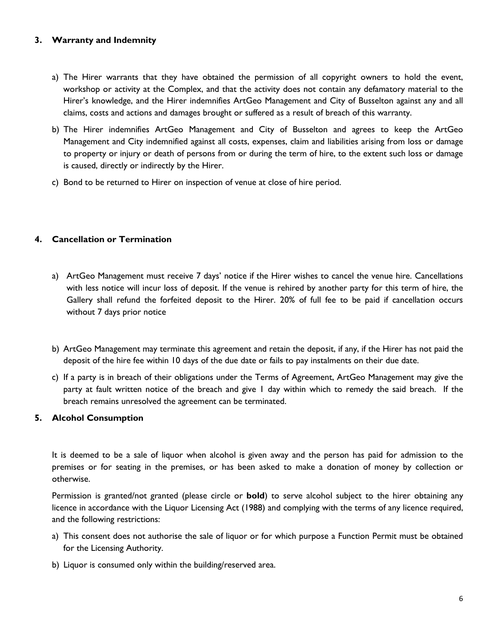### **3. Warranty and Indemnity**

- a) The Hirer warrants that they have obtained the permission of all copyright owners to hold the event, workshop or activity at the Complex, and that the activity does not contain any defamatory material to the Hirer's knowledge, and the Hirer indemnifies ArtGeo Management and City of Busselton against any and all claims, costs and actions and damages brought or suffered as a result of breach of this warranty.
- b) The Hirer indemnifies ArtGeo Management and City of Busselton and agrees to keep the ArtGeo Management and City indemnified against all costs, expenses, claim and liabilities arising from loss or damage to property or injury or death of persons from or during the term of hire, to the extent such loss or damage is caused, directly or indirectly by the Hirer.
- c) Bond to be returned to Hirer on inspection of venue at close of hire period.

## **4. Cancellation or Termination**

- a) ArtGeo Management must receive 7 days' notice if the Hirer wishes to cancel the venue hire. Cancellations with less notice will incur loss of deposit. If the venue is rehired by another party for this term of hire, the Gallery shall refund the forfeited deposit to the Hirer. 20% of full fee to be paid if cancellation occurs without 7 days prior notice
- b) ArtGeo Management may terminate this agreement and retain the deposit, if any, if the Hirer has not paid the deposit of the hire fee within 10 days of the due date or fails to pay instalments on their due date.
- c) If a party is in breach of their obligations under the Terms of Agreement, ArtGeo Management may give the party at fault written notice of the breach and give 1 day within which to remedy the said breach. If the breach remains unresolved the agreement can be terminated.

#### **5. Alcohol Consumption**

It is deemed to be a sale of liquor when alcohol is given away and the person has paid for admission to the premises or for seating in the premises, or has been asked to make a donation of money by collection or otherwise.

Permission is granted/not granted (please circle or **bold**) to serve alcohol subject to the hirer obtaining any licence in accordance with the Liquor Licensing Act (1988) and complying with the terms of any licence required, and the following restrictions:

- a) This consent does not authorise the sale of liquor or for which purpose a Function Permit must be obtained for the Licensing Authority.
- b) Liquor is consumed only within the building/reserved area.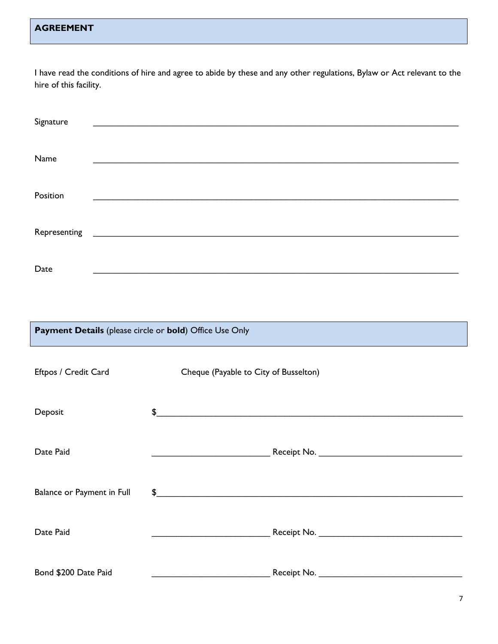## **AGREEMENT**

I have read the conditions of hire and agree to abide by these and any other regulations, Bylaw or Act relevant to the hire of this facility.

| Signature                                               |                                                                                                                        |  |  |
|---------------------------------------------------------|------------------------------------------------------------------------------------------------------------------------|--|--|
| Name                                                    | <u> 1989 - Johann Stoff, deutscher Stoffen und der Stoffen und der Stoffen und der Stoffen und der Stoffen und der</u> |  |  |
| Position                                                | <u> 1989 - 1989 - 1989 - 1989 - 1989 - 1989 - 1989 - 1989 - 1989 - 1989 - 1989 - 1989 - 1989 - 1989 - 1989 - 19</u>    |  |  |
| Representing                                            | <u> 1989 - Johann Harry Harry Harry Harry Harry Harry Harry Harry Harry Harry Harry Harry Harry Harry Harry Harry</u>  |  |  |
| Date                                                    |                                                                                                                        |  |  |
|                                                         |                                                                                                                        |  |  |
| Payment Details (please circle or bold) Office Use Only |                                                                                                                        |  |  |
| Eftpos / Credit Card                                    | Cheque (Payable to City of Busselton)                                                                                  |  |  |
| Deposit                                                 | \$<br><u> 1980 - John Stein, Amerikaansk politiker (* 1918)</u>                                                        |  |  |
| Date Paid                                               |                                                                                                                        |  |  |
| Balance or Payment in Full                              | $\frac{1}{2}$                                                                                                          |  |  |
| Date Paid                                               |                                                                                                                        |  |  |
| Bond \$200 Date Paid                                    | <u> 1989 - Johann Stein, mars and de Britannich (b. 1989)</u>                                                          |  |  |